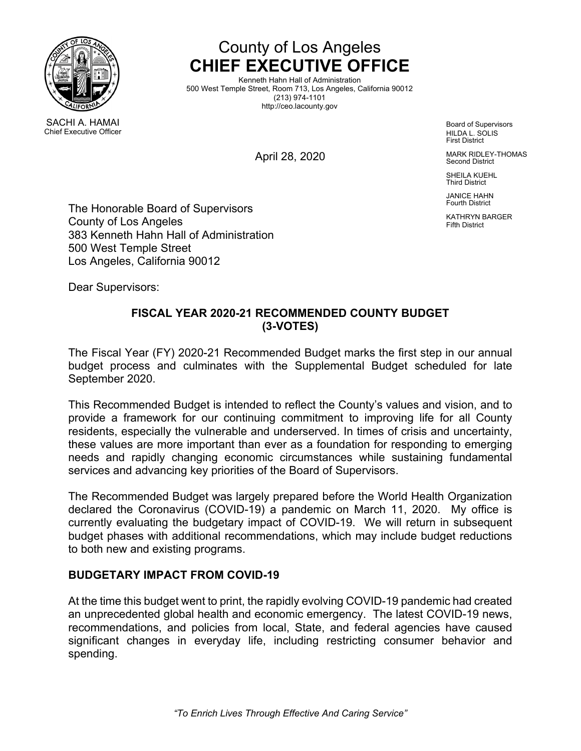

Chief Executive Officer



Kenneth Hahn Hall of Administration 500 West Temple Street, Room 713, Los Angeles, California 90012 (213) 974-1101 http://ceo.lacounty.gov

April 28, 2020

Board of Supervisors HILDA L. SOLIS First District

MARK RIDLEY-THOMAS Second District

SHEILA KUEHL Third District

JANICE HAHN Fourth District

KATHRYN BARGER Fifth District

The Honorable Board of Supervisors County of Los Angeles 383 Kenneth Hahn Hall of Administration 500 West Temple Street Los Angeles, California 90012

Dear Supervisors:

# **FISCAL YEAR 2020-21 RECOMMENDED COUNTY BUDGET (3-VOTES)**

The Fiscal Year (FY) 2020-21 Recommended Budget marks the first step in our annual budget process and culminates with the Supplemental Budget scheduled for late September 2020.

This Recommended Budget is intended to reflect the County's values and vision, and to provide a framework for our continuing commitment to improving life for all County residents, especially the vulnerable and underserved. In times of crisis and uncertainty, these values are more important than ever as a foundation for responding to emerging needs and rapidly changing economic circumstances while sustaining fundamental services and advancing key priorities of the Board of Supervisors.

The Recommended Budget was largely prepared before the World Health Organization declared the Coronavirus (COVID-19) a pandemic on March 11, 2020. My office is currently evaluating the budgetary impact of COVID-19. We will return in subsequent budget phases with additional recommendations, which may include budget reductions to both new and existing programs.

# **BUDGETARY IMPACT FROM COVID-19**

At the time this budget went to print, the rapidly evolving COVID-19 pandemic had created an unprecedented global health and economic emergency. The latest COVID-19 news, recommendations, and policies from local, State, and federal agencies have caused significant changes in everyday life, including restricting consumer behavior and spending.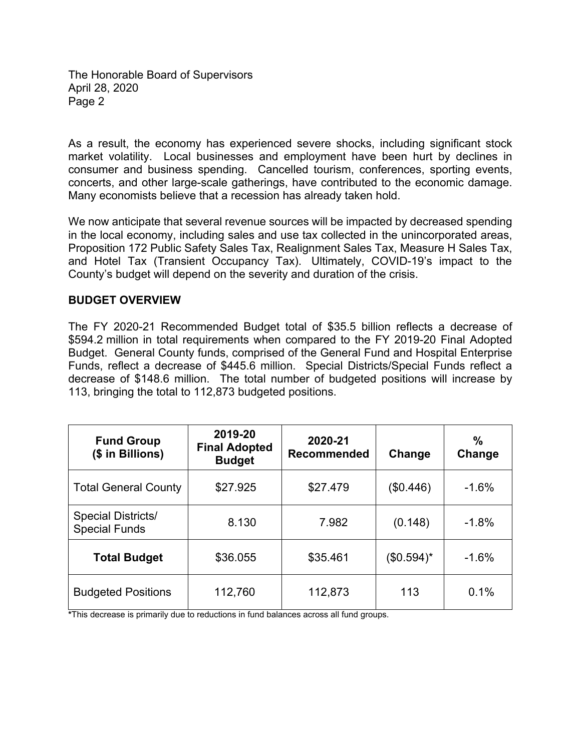As a result, the economy has experienced severe shocks, including significant stock market volatility. Local businesses and employment have been hurt by declines in consumer and business spending. Cancelled tourism, conferences, sporting events, concerts, and other large-scale gatherings, have contributed to the economic damage. Many economists believe that a recession has already taken hold.

We now anticipate that several revenue sources will be impacted by decreased spending in the local economy, including sales and use tax collected in the unincorporated areas, Proposition 172 Public Safety Sales Tax, Realignment Sales Tax, Measure H Sales Tax, and Hotel Tax (Transient Occupancy Tax). Ultimately, COVID-19's impact to the County's budget will depend on the severity and duration of the crisis.

#### **BUDGET OVERVIEW**

The FY 2020-21 Recommended Budget total of \$35.5 billion reflects a decrease of \$594.2 million in total requirements when compared to the FY 2019-20 Final Adopted Budget. General County funds, comprised of the General Fund and Hospital Enterprise Funds, reflect a decrease of \$445.6 million. Special Districts/Special Funds reflect a decrease of \$148.6 million. The total number of budgeted positions will increase by 113, bringing the total to 112,873 budgeted positions.

| <b>Fund Group</b><br>(\$ in Billions)             | 2019-20<br><b>Final Adopted</b><br><b>Budget</b> | 2020-21<br><b>Recommended</b> | Change     | $\frac{0}{0}$<br>Change |
|---------------------------------------------------|--------------------------------------------------|-------------------------------|------------|-------------------------|
| <b>Total General County</b>                       | \$27.925                                         | \$27.479                      | (\$0.446)  | $-1.6%$                 |
| <b>Special Districts/</b><br><b>Special Funds</b> | 8.130                                            | 7.982                         | (0.148)    | $-1.8%$                 |
| <b>Total Budget</b>                               | \$36.055                                         | \$35.461                      | (\$0.594)* | $-1.6%$                 |
| <b>Budgeted Positions</b>                         | 112,760                                          | 112,873                       | 113        | 0.1%                    |

**\***This decrease is primarily due to reductions in fund balances across all fund groups.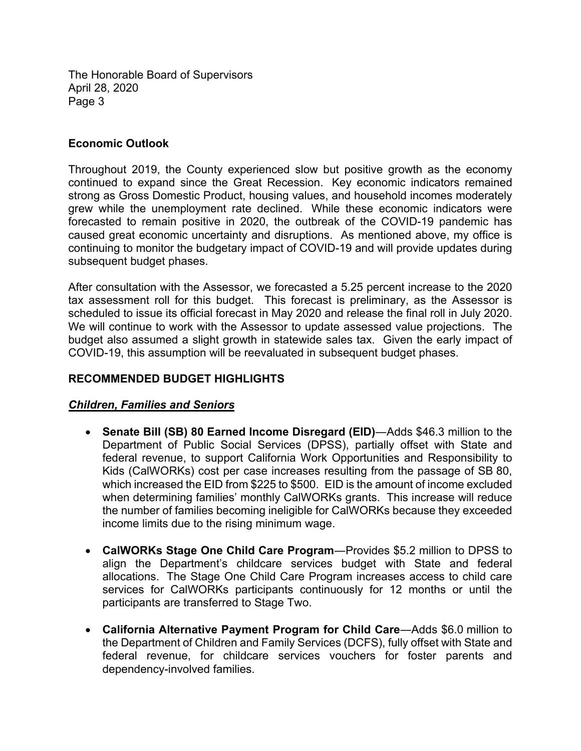### **Economic Outlook**

Throughout 2019, the County experienced slow but positive growth as the economy continued to expand since the Great Recession. Key economic indicators remained strong as Gross Domestic Product, housing values, and household incomes moderately grew while the unemployment rate declined. While these economic indicators were forecasted to remain positive in 2020, the outbreak of the COVID-19 pandemic has caused great economic uncertainty and disruptions. As mentioned above, my office is continuing to monitor the budgetary impact of COVID-19 and will provide updates during subsequent budget phases.

After consultation with the Assessor, we forecasted a 5.25 percent increase to the 2020 tax assessment roll for this budget. This forecast is preliminary, as the Assessor is scheduled to issue its official forecast in May 2020 and release the final roll in July 2020. We will continue to work with the Assessor to update assessed value projections. The budget also assumed a slight growth in statewide sales tax. Given the early impact of COVID-19, this assumption will be reevaluated in subsequent budget phases.

# **RECOMMENDED BUDGET HIGHLIGHTS**

# *Children, Families and Seniors*

- **Senate Bill (SB) 80 Earned Income Disregard (EID)**―Adds \$46.3 million to the Department of Public Social Services (DPSS), partially offset with State and federal revenue, to support California Work Opportunities and Responsibility to Kids (CalWORKs) cost per case increases resulting from the passage of SB 80, which increased the EID from \$225 to \$500. EID is the amount of income excluded when determining families' monthly CalWORKs grants. This increase will reduce the number of families becoming ineligible for CalWORKs because they exceeded income limits due to the rising minimum wage.
- **CalWORKs Stage One Child Care Program**―Provides \$5.2 million to DPSS to align the Department's childcare services budget with State and federal allocations. The Stage One Child Care Program increases access to child care services for CalWORKs participants continuously for 12 months or until the participants are transferred to Stage Two.
- **California Alternative Payment Program for Child Care**―Adds \$6.0 million to the Department of Children and Family Services (DCFS), fully offset with State and federal revenue, for childcare services vouchers for foster parents and dependency-involved families.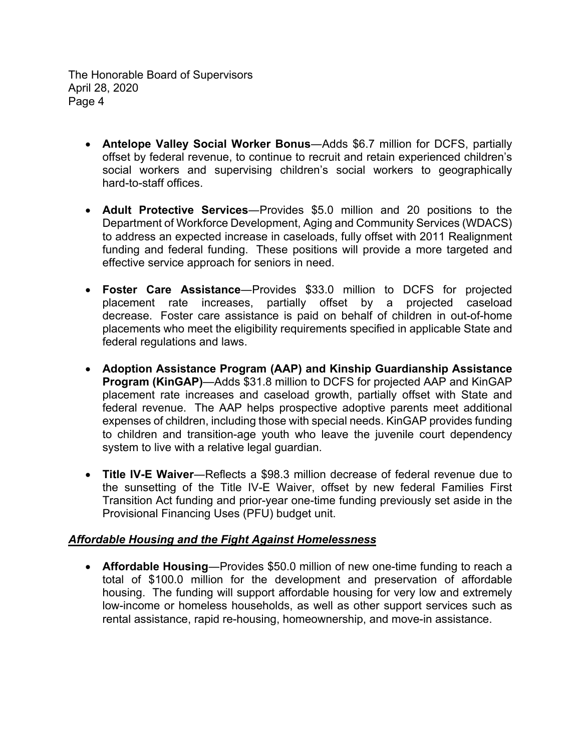- **Antelope Valley Social Worker Bonus**―Adds \$6.7 million for DCFS, partially offset by federal revenue, to continue to recruit and retain experienced children's social workers and supervising children's social workers to geographically hard-to-staff offices.
- **Adult Protective Services**―Provides \$5.0 million and 20 positions to the Department of Workforce Development, Aging and Community Services (WDACS) to address an expected increase in caseloads, fully offset with 2011 Realignment funding and federal funding. These positions will provide a more targeted and effective service approach for seniors in need.
- **Foster Care Assistance**―Provides \$33.0 million to DCFS for projected placement rate increases, partially offset by a projected caseload decrease. Foster care assistance is paid on behalf of children in out-of-home placements who meet the eligibility requirements specified in applicable State and federal regulations and laws.
- **Adoption Assistance Program (AAP) and Kinship Guardianship Assistance Program (KinGAP)**—Adds \$31.8 million to DCFS for projected AAP and KinGAP placement rate increases and caseload growth, partially offset with State and federal revenue. The AAP helps prospective adoptive parents meet additional expenses of children, including those with special needs. KinGAP provides funding to children and transition-age youth who leave the juvenile court dependency system to live with a relative legal guardian.
- **Title IV-E Waiver**―Reflects a \$98.3 million decrease of federal revenue due to the sunsetting of the Title IV-E Waiver, offset by new federal Families First Transition Act funding and prior-year one-time funding previously set aside in the Provisional Financing Uses (PFU) budget unit.

# *Affordable Housing and the Fight Against Homelessness*

 **Affordable Housing**―Provides \$50.0 million of new one-time funding to reach a total of \$100.0 million for the development and preservation of affordable housing. The funding will support affordable housing for very low and extremely low-income or homeless households, as well as other support services such as rental assistance, rapid re-housing, homeownership, and move-in assistance.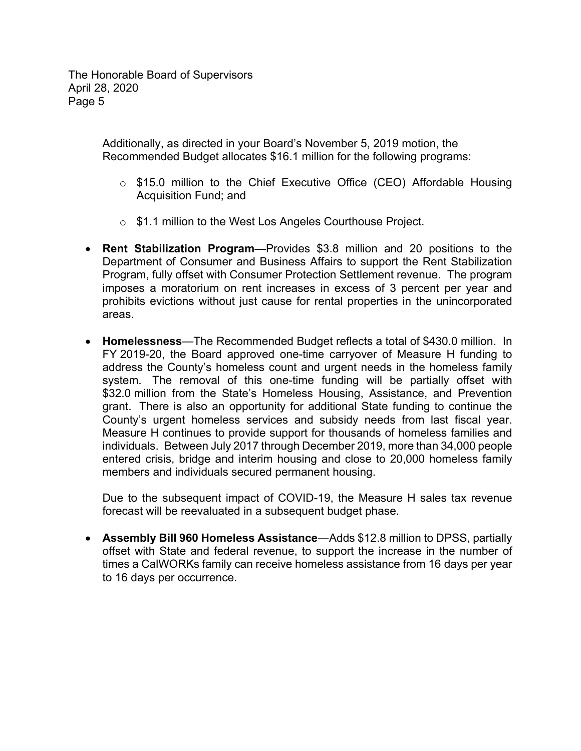> Additionally, as directed in your Board's November 5, 2019 motion, the Recommended Budget allocates \$16.1 million for the following programs:

- o \$15.0 million to the Chief Executive Office (CEO) Affordable Housing Acquisition Fund; and
- o \$1.1 million to the West Los Angeles Courthouse Project.
- **Rent Stabilization Program**—Provides \$3.8 million and 20 positions to the Department of Consumer and Business Affairs to support the Rent Stabilization Program, fully offset with Consumer Protection Settlement revenue. The program imposes a moratorium on rent increases in excess of 3 percent per year and prohibits evictions without just cause for rental properties in the unincorporated areas.
- **Homelessness**—The Recommended Budget reflects a total of \$430.0 million. In FY 2019-20, the Board approved one-time carryover of Measure H funding to address the County's homeless count and urgent needs in the homeless family system. The removal of this one-time funding will be partially offset with \$32.0 million from the State's Homeless Housing, Assistance, and Prevention grant. There is also an opportunity for additional State funding to continue the County's urgent homeless services and subsidy needs from last fiscal year. Measure H continues to provide support for thousands of homeless families and individuals. Between July 2017 through December 2019, more than 34,000 people entered crisis, bridge and interim housing and close to 20,000 homeless family members and individuals secured permanent housing.

Due to the subsequent impact of COVID-19, the Measure H sales tax revenue forecast will be reevaluated in a subsequent budget phase.

 **Assembly Bill 960 Homeless Assistance**―Adds \$12.8 million to DPSS, partially offset with State and federal revenue, to support the increase in the number of times a CalWORKs family can receive homeless assistance from 16 days per year to 16 days per occurrence.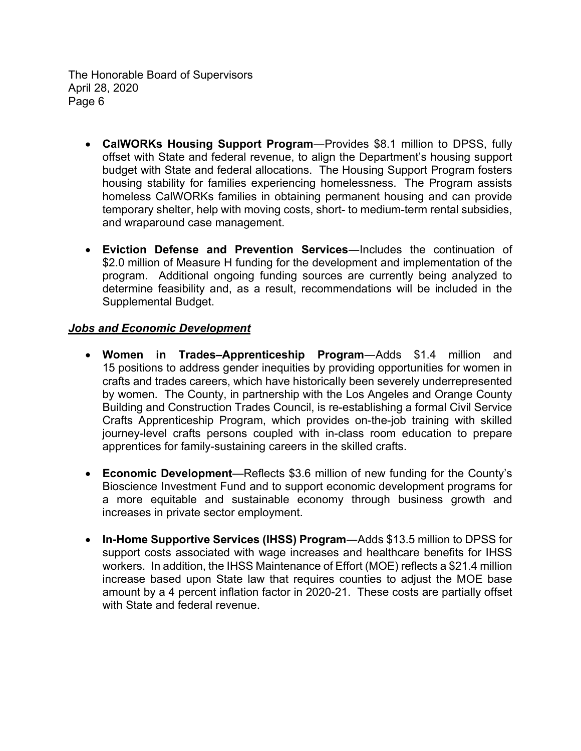- **CalWORKs Housing Support Program**―Provides \$8.1 million to DPSS, fully offset with State and federal revenue, to align the Department's housing support budget with State and federal allocations. The Housing Support Program fosters housing stability for families experiencing homelessness. The Program assists homeless CalWORKs families in obtaining permanent housing and can provide temporary shelter, help with moving costs, short- to medium-term rental subsidies, and wraparound case management.
- **Eviction Defense and Prevention Services**―Includes the continuation of \$2.0 million of Measure H funding for the development and implementation of the program. Additional ongoing funding sources are currently being analyzed to determine feasibility and, as a result, recommendations will be included in the Supplemental Budget.

### *Jobs and Economic Development*

- **Women in Trades–Apprenticeship Program**―Adds \$1.4 million and 15 positions to address gender inequities by providing opportunities for women in crafts and trades careers, which have historically been severely underrepresented by women. The County, in partnership with the Los Angeles and Orange County Building and Construction Trades Council, is re-establishing a formal Civil Service Crafts Apprenticeship Program, which provides on-the-job training with skilled journey-level crafts persons coupled with in-class room education to prepare apprentices for family-sustaining careers in the skilled crafts.
- **Economic Development**—Reflects \$3.6 million of new funding for the County's Bioscience Investment Fund and to support economic development programs for a more equitable and sustainable economy through business growth and increases in private sector employment.
- **In-Home Supportive Services (IHSS) Program**―Adds \$13.5 million to DPSS for support costs associated with wage increases and healthcare benefits for IHSS workers. In addition, the IHSS Maintenance of Effort (MOE) reflects a \$21.4 million increase based upon State law that requires counties to adjust the MOE base amount by a 4 percent inflation factor in 2020-21. These costs are partially offset with State and federal revenue.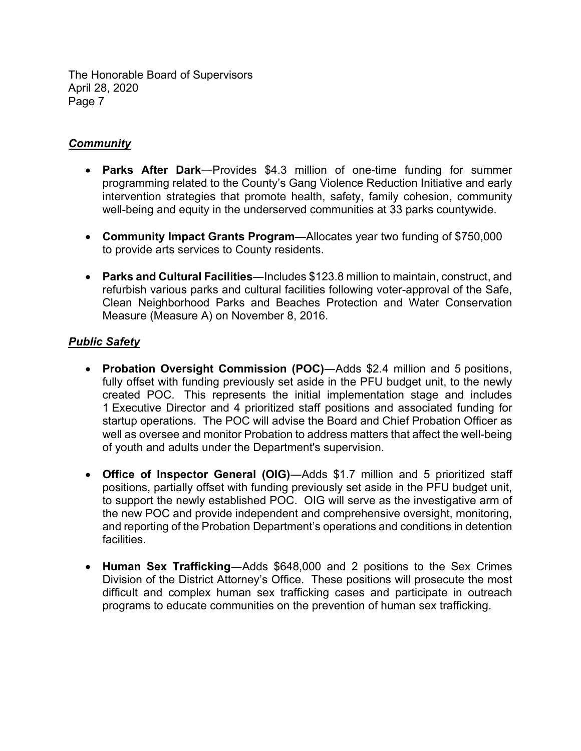# *Community*

- **Parks After Dark**―Provides \$4.3 million of one-time funding for summer programming related to the County's Gang Violence Reduction Initiative and early intervention strategies that promote health, safety, family cohesion, community well-being and equity in the underserved communities at 33 parks countywide.
- **Community Impact Grants Program**—Allocates year two funding of \$750,000 to provide arts services to County residents.
- **Parks and Cultural Facilities**―Includes \$123.8 million to maintain, construct, and refurbish various parks and cultural facilities following voter-approval of the Safe, Clean Neighborhood Parks and Beaches Protection and Water Conservation Measure (Measure A) on November 8, 2016.

# *Public Safety*

- **Probation Oversight Commission (POC)**―Adds \$2.4 million and 5 positions, fully offset with funding previously set aside in the PFU budget unit, to the newly created POC. This represents the initial implementation stage and includes 1 Executive Director and 4 prioritized staff positions and associated funding for startup operations. The POC will advise the Board and Chief Probation Officer as well as oversee and monitor Probation to address matters that affect the well-being of youth and adults under the Department's supervision.
- **Office of Inspector General (OIG)**―Adds \$1.7 million and 5 prioritized staff positions, partially offset with funding previously set aside in the PFU budget unit, to support the newly established POC. OIG will serve as the investigative arm of the new POC and provide independent and comprehensive oversight, monitoring, and reporting of the Probation Department's operations and conditions in detention facilities.
- **Human Sex Trafficking**―Adds \$648,000 and 2 positions to the Sex Crimes Division of the District Attorney's Office. These positions will prosecute the most difficult and complex human sex trafficking cases and participate in outreach programs to educate communities on the prevention of human sex trafficking.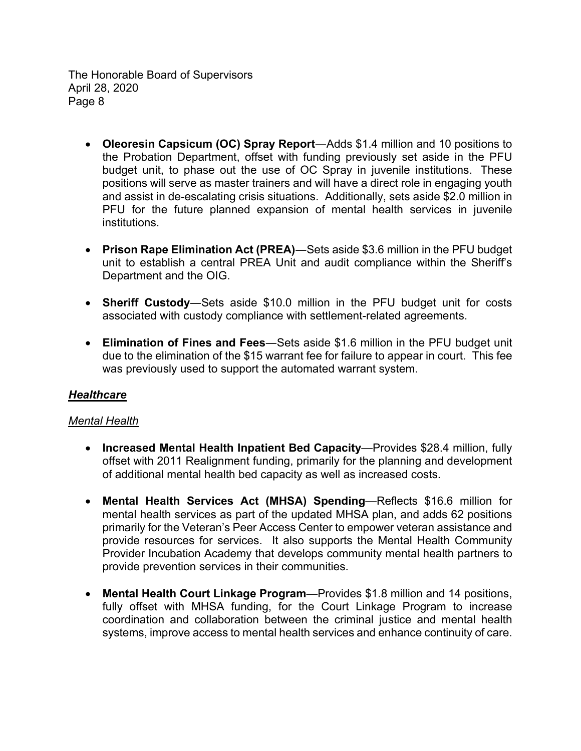- **Oleoresin Capsicum (OC) Spray Report**―Adds \$1.4 million and 10 positions to the Probation Department, offset with funding previously set aside in the PFU budget unit, to phase out the use of OC Spray in juvenile institutions. These positions will serve as master trainers and will have a direct role in engaging youth and assist in de-escalating crisis situations. Additionally, sets aside \$2.0 million in PFU for the future planned expansion of mental health services in juvenile institutions.
- **Prison Rape Elimination Act (PREA)**―Sets aside \$3.6 million in the PFU budget unit to establish a central PREA Unit and audit compliance within the Sheriff's Department and the OIG.
- **Sheriff Custody**―Sets aside \$10.0 million in the PFU budget unit for costs associated with custody compliance with settlement-related agreements.
- **Elimination of Fines and Fees**―Sets aside \$1.6 million in the PFU budget unit due to the elimination of the \$15 warrant fee for failure to appear in court. This fee was previously used to support the automated warrant system.

# *Healthcare*

### *Mental Health*

- **Increased Mental Health Inpatient Bed Capacity**—Provides \$28.4 million, fully offset with 2011 Realignment funding, primarily for the planning and development of additional mental health bed capacity as well as increased costs.
- **Mental Health Services Act (MHSA) Spending**—Reflects \$16.6 million for mental health services as part of the updated MHSA plan, and adds 62 positions primarily for the Veteran's Peer Access Center to empower veteran assistance and provide resources for services. It also supports the Mental Health Community Provider Incubation Academy that develops community mental health partners to provide prevention services in their communities.
- **Mental Health Court Linkage Program**—Provides \$1.8 million and 14 positions, fully offset with MHSA funding, for the Court Linkage Program to increase coordination and collaboration between the criminal justice and mental health systems, improve access to mental health services and enhance continuity of care.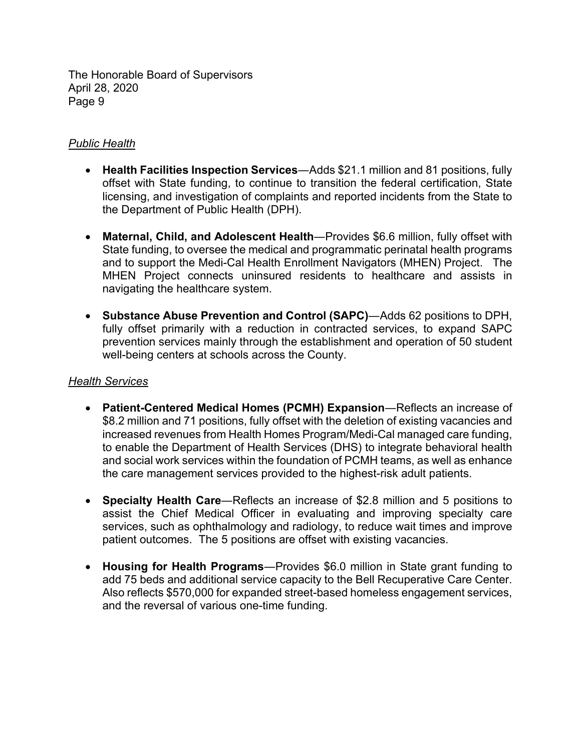### *Public Health*

- **Health Facilities Inspection Services**―Adds \$21.1 million and 81 positions, fully offset with State funding, to continue to transition the federal certification, State licensing, and investigation of complaints and reported incidents from the State to the Department of Public Health (DPH).
- **Maternal, Child, and Adolescent Health**―Provides \$6.6 million, fully offset with State funding, to oversee the medical and programmatic perinatal health programs and to support the Medi-Cal Health Enrollment Navigators (MHEN) Project. The MHEN Project connects uninsured residents to healthcare and assists in navigating the healthcare system.
- **Substance Abuse Prevention and Control (SAPC)**―Adds 62 positions to DPH, fully offset primarily with a reduction in contracted services, to expand SAPC prevention services mainly through the establishment and operation of 50 student well-being centers at schools across the County.

### *Health Services*

- **Patient-Centered Medical Homes (PCMH) Expansion**―Reflects an increase of \$8.2 million and 71 positions, fully offset with the deletion of existing vacancies and increased revenues from Health Homes Program/Medi-Cal managed care funding, to enable the Department of Health Services (DHS) to integrate behavioral health and social work services within the foundation of PCMH teams, as well as enhance the care management services provided to the highest-risk adult patients.
- **Specialty Health Care**―Reflects an increase of \$2.8 million and 5 positions to assist the Chief Medical Officer in evaluating and improving specialty care services, such as ophthalmology and radiology, to reduce wait times and improve patient outcomes. The 5 positions are offset with existing vacancies.
- **Housing for Health Programs**―Provides \$6.0 million in State grant funding to add 75 beds and additional service capacity to the Bell Recuperative Care Center. Also reflects \$570,000 for expanded street-based homeless engagement services, and the reversal of various one-time funding.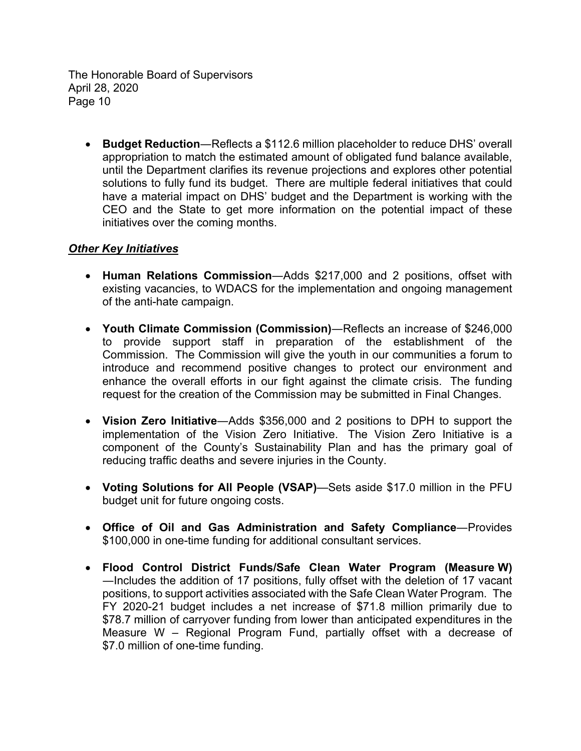**Budget Reduction**―Reflects a \$112.6 million placeholder to reduce DHS' overall appropriation to match the estimated amount of obligated fund balance available, until the Department clarifies its revenue projections and explores other potential solutions to fully fund its budget. There are multiple federal initiatives that could have a material impact on DHS' budget and the Department is working with the CEO and the State to get more information on the potential impact of these initiatives over the coming months.

### *Other Key Initiatives*

- **Human Relations Commission**―Adds \$217,000 and 2 positions, offset with existing vacancies, to WDACS for the implementation and ongoing management of the anti-hate campaign.
- **Youth Climate Commission (Commission)**―Reflects an increase of \$246,000 to provide support staff in preparation of the establishment of the Commission. The Commission will give the youth in our communities a forum to introduce and recommend positive changes to protect our environment and enhance the overall efforts in our fight against the climate crisis. The funding request for the creation of the Commission may be submitted in Final Changes.
- **Vision Zero Initiative**―Adds \$356,000 and 2 positions to DPH to support the implementation of the Vision Zero Initiative. The Vision Zero Initiative is a component of the County's Sustainability Plan and has the primary goal of reducing traffic deaths and severe injuries in the County.
- **Voting Solutions for All People (VSAP)**—Sets aside \$17.0 million in the PFU budget unit for future ongoing costs.
- **Office of Oil and Gas Administration and Safety Compliance**―Provides \$100,000 in one-time funding for additional consultant services.
- **Flood Control District Funds/Safe Clean Water Program (Measure W)** ―Includes the addition of 17 positions, fully offset with the deletion of 17 vacant positions, to support activities associated with the Safe Clean Water Program. The FY 2020-21 budget includes a net increase of \$71.8 million primarily due to \$78.7 million of carryover funding from lower than anticipated expenditures in the Measure W – Regional Program Fund, partially offset with a decrease of \$7.0 million of one-time funding.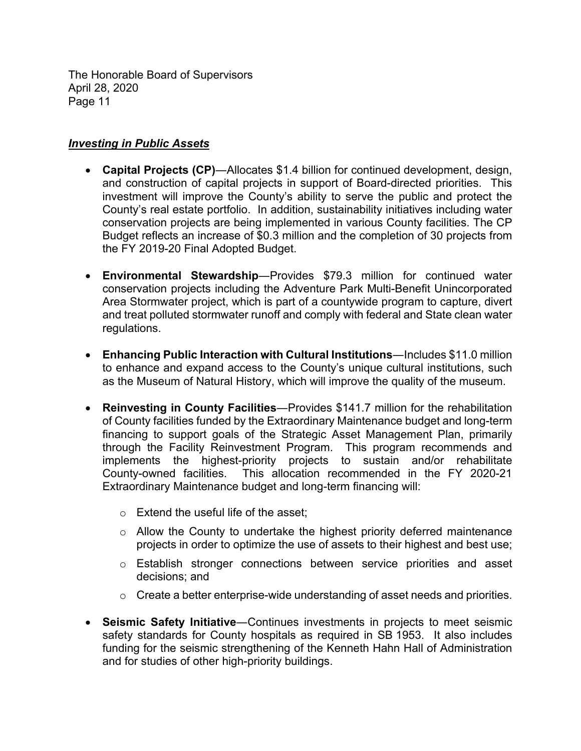### *Investing in Public Assets*

- **Capital Projects (CP)**―Allocates \$1.4 billion for continued development, design, and construction of capital projects in support of Board-directed priorities. This investment will improve the County's ability to serve the public and protect the County's real estate portfolio. In addition, sustainability initiatives including water conservation projects are being implemented in various County facilities. The CP Budget reflects an increase of \$0.3 million and the completion of 30 projects from the FY 2019-20 Final Adopted Budget.
- **Environmental Stewardship**―Provides \$79.3 million for continued water conservation projects including the Adventure Park Multi-Benefit Unincorporated Area Stormwater project, which is part of a countywide program to capture, divert and treat polluted stormwater runoff and comply with federal and State clean water regulations.
- **Enhancing Public Interaction with Cultural Institutions**―Includes \$11.0 million to enhance and expand access to the County's unique cultural institutions, such as the Museum of Natural History, which will improve the quality of the museum.
- **Reinvesting in County Facilities**―Provides \$141.7 million for the rehabilitation of County facilities funded by the Extraordinary Maintenance budget and long-term financing to support goals of the Strategic Asset Management Plan, primarily through the Facility Reinvestment Program. This program recommends and implements the highest-priority projects to sustain and/or rehabilitate County-owned facilities. This allocation recommended in the FY 2020-21 Extraordinary Maintenance budget and long-term financing will:
	- $\circ$  Extend the useful life of the asset:
	- $\circ$  Allow the County to undertake the highest priority deferred maintenance projects in order to optimize the use of assets to their highest and best use;
	- o Establish stronger connections between service priorities and asset decisions; and
	- $\circ$  Create a better enterprise-wide understanding of asset needs and priorities.
- **Seismic Safety Initiative**―Continues investments in projects to meet seismic safety standards for County hospitals as required in SB 1953. It also includes funding for the seismic strengthening of the Kenneth Hahn Hall of Administration and for studies of other high-priority buildings.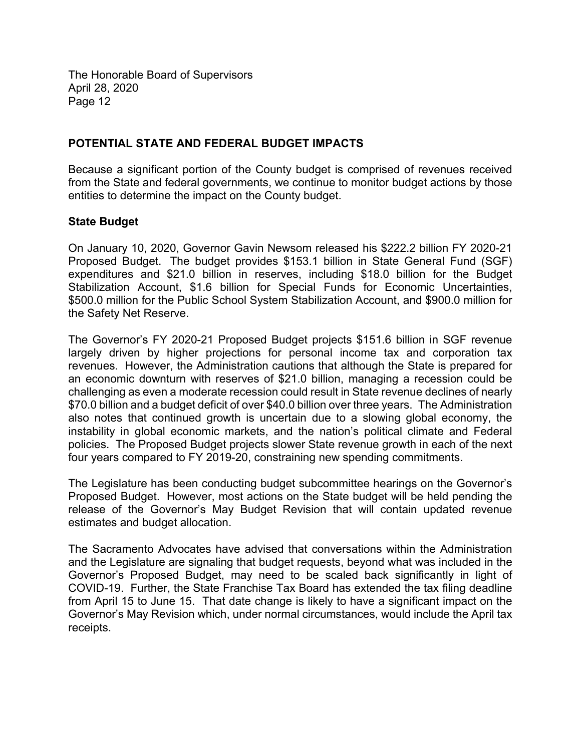### **POTENTIAL STATE AND FEDERAL BUDGET IMPACTS**

Because a significant portion of the County budget is comprised of revenues received from the State and federal governments, we continue to monitor budget actions by those entities to determine the impact on the County budget.

### **State Budget**

On January 10, 2020, Governor Gavin Newsom released his \$222.2 billion FY 2020-21 Proposed Budget. The budget provides \$153.1 billion in State General Fund (SGF) expenditures and \$21.0 billion in reserves, including \$18.0 billion for the Budget Stabilization Account, \$1.6 billion for Special Funds for Economic Uncertainties, \$500.0 million for the Public School System Stabilization Account, and \$900.0 million for the Safety Net Reserve.

The Governor's FY 2020-21 Proposed Budget projects \$151.6 billion in SGF revenue largely driven by higher projections for personal income tax and corporation tax revenues. However, the Administration cautions that although the State is prepared for an economic downturn with reserves of \$21.0 billion, managing a recession could be challenging as even a moderate recession could result in State revenue declines of nearly \$70.0 billion and a budget deficit of over \$40.0 billion over three years. The Administration also notes that continued growth is uncertain due to a slowing global economy, the instability in global economic markets, and the nation's political climate and Federal policies. The Proposed Budget projects slower State revenue growth in each of the next four years compared to FY 2019-20, constraining new spending commitments.

The Legislature has been conducting budget subcommittee hearings on the Governor's Proposed Budget. However, most actions on the State budget will be held pending the release of the Governor's May Budget Revision that will contain updated revenue estimates and budget allocation.

The Sacramento Advocates have advised that conversations within the Administration and the Legislature are signaling that budget requests, beyond what was included in the Governor's Proposed Budget, may need to be scaled back significantly in light of COVID-19. Further, the State Franchise Tax Board has extended the tax filing deadline from April 15 to June 15. That date change is likely to have a significant impact on the Governor's May Revision which, under normal circumstances, would include the April tax receipts.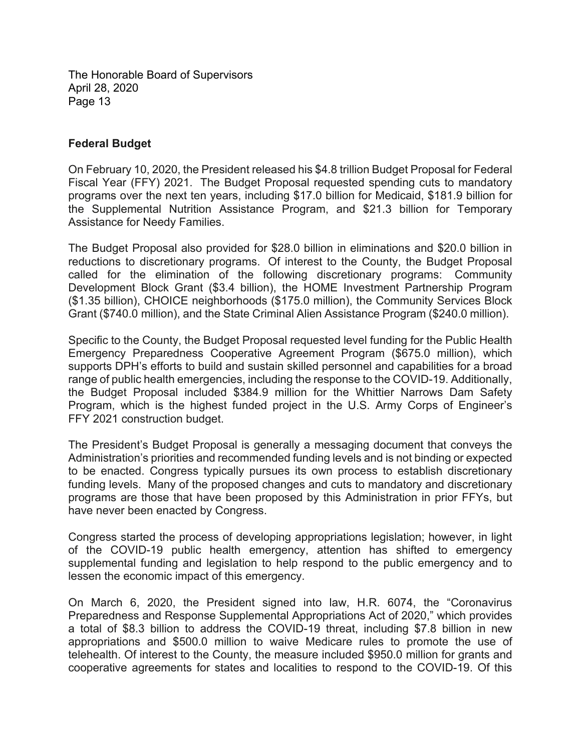### **Federal Budget**

On February 10, 2020, the President released his \$4.8 trillion Budget Proposal for Federal Fiscal Year (FFY) 2021. The Budget Proposal requested spending cuts to mandatory programs over the next ten years, including \$17.0 billion for Medicaid, \$181.9 billion for the Supplemental Nutrition Assistance Program, and \$21.3 billion for Temporary Assistance for Needy Families.

The Budget Proposal also provided for \$28.0 billion in eliminations and \$20.0 billion in reductions to discretionary programs. Of interest to the County, the Budget Proposal called for the elimination of the following discretionary programs: Community Development Block Grant (\$3.4 billion), the HOME Investment Partnership Program (\$1.35 billion), CHOICE neighborhoods (\$175.0 million), the Community Services Block Grant (\$740.0 million), and the State Criminal Alien Assistance Program (\$240.0 million).

Specific to the County, the Budget Proposal requested level funding for the Public Health Emergency Preparedness Cooperative Agreement Program (\$675.0 million), which supports DPH's efforts to build and sustain skilled personnel and capabilities for a broad range of public health emergencies, including the response to the COVID-19. Additionally, the Budget Proposal included \$384.9 million for the Whittier Narrows Dam Safety Program, which is the highest funded project in the U.S. Army Corps of Engineer's FFY 2021 construction budget.

The President's Budget Proposal is generally a messaging document that conveys the Administration's priorities and recommended funding levels and is not binding or expected to be enacted. Congress typically pursues its own process to establish discretionary funding levels. Many of the proposed changes and cuts to mandatory and discretionary programs are those that have been proposed by this Administration in prior FFYs, but have never been enacted by Congress.

Congress started the process of developing appropriations legislation; however, in light of the COVID-19 public health emergency, attention has shifted to emergency supplemental funding and legislation to help respond to the public emergency and to lessen the economic impact of this emergency.

On March 6, 2020, the President signed into law, H.R. 6074, the "Coronavirus Preparedness and Response Supplemental Appropriations Act of 2020," which provides a total of \$8.3 billion to address the COVID-19 threat, including \$7.8 billion in new appropriations and \$500.0 million to waive Medicare rules to promote the use of telehealth. Of interest to the County, the measure included \$950.0 million for grants and cooperative agreements for states and localities to respond to the COVID-19. Of this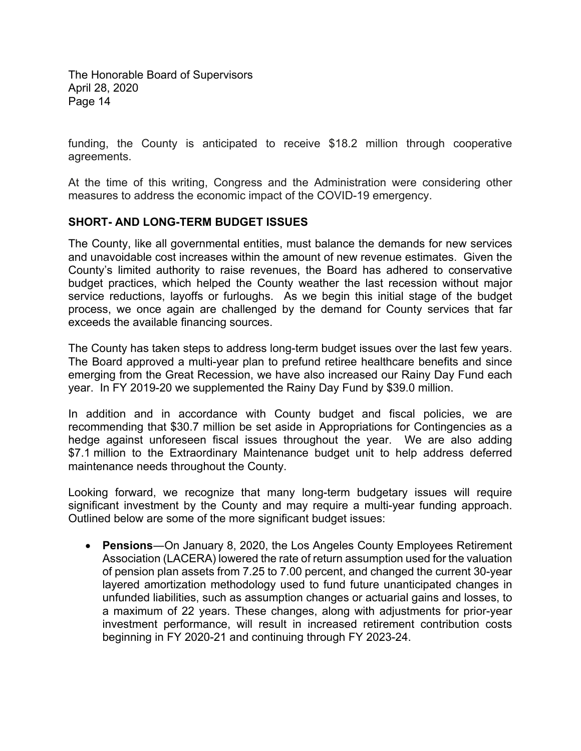funding, the County is anticipated to receive \$18.2 million through cooperative agreements.

At the time of this writing, Congress and the Administration were considering other measures to address the economic impact of the COVID-19 emergency.

### **SHORT- AND LONG-TERM BUDGET ISSUES**

The County, like all governmental entities, must balance the demands for new services and unavoidable cost increases within the amount of new revenue estimates. Given the County's limited authority to raise revenues, the Board has adhered to conservative budget practices, which helped the County weather the last recession without major service reductions, layoffs or furloughs. As we begin this initial stage of the budget process, we once again are challenged by the demand for County services that far exceeds the available financing sources.

The County has taken steps to address long-term budget issues over the last few years. The Board approved a multi-year plan to prefund retiree healthcare benefits and since emerging from the Great Recession, we have also increased our Rainy Day Fund each year. In FY 2019-20 we supplemented the Rainy Day Fund by \$39.0 million.

In addition and in accordance with County budget and fiscal policies, we are recommending that \$30.7 million be set aside in Appropriations for Contingencies as a hedge against unforeseen fiscal issues throughout the year. We are also adding \$7.1 million to the Extraordinary Maintenance budget unit to help address deferred maintenance needs throughout the County.

Looking forward, we recognize that many long-term budgetary issues will require significant investment by the County and may require a multi-year funding approach. Outlined below are some of the more significant budget issues:

 **Pensions**―On January 8, 2020, the Los Angeles County Employees Retirement Association (LACERA) lowered the rate of return assumption used for the valuation of pension plan assets from 7.25 to 7.00 percent, and changed the current 30-year layered amortization methodology used to fund future unanticipated changes in unfunded liabilities, such as assumption changes or actuarial gains and losses, to a maximum of 22 years. These changes, along with adjustments for prior-year investment performance, will result in increased retirement contribution costs beginning in FY 2020-21 and continuing through FY 2023-24.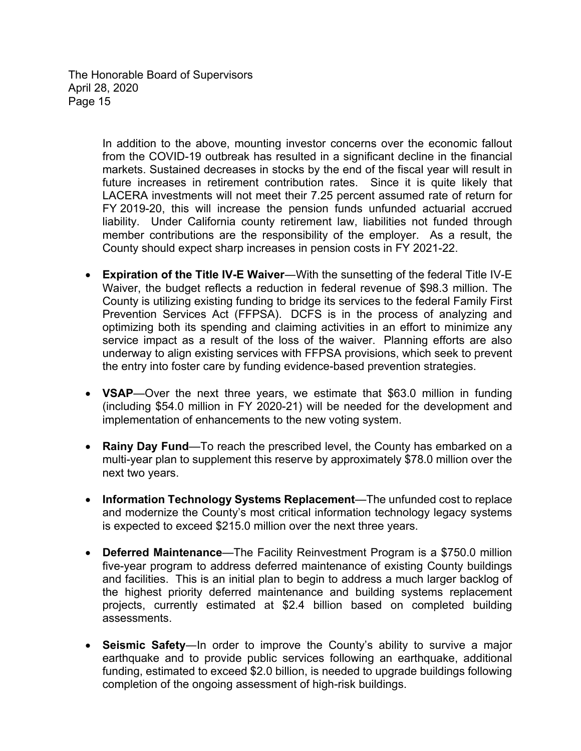> In addition to the above, mounting investor concerns over the economic fallout from the COVID-19 outbreak has resulted in a significant decline in the financial markets. Sustained decreases in stocks by the end of the fiscal year will result in future increases in retirement contribution rates. Since it is quite likely that LACERA investments will not meet their 7.25 percent assumed rate of return for FY 2019-20, this will increase the pension funds unfunded actuarial accrued liability. Under California county retirement law, liabilities not funded through member contributions are the responsibility of the employer. As a result, the County should expect sharp increases in pension costs in FY 2021-22.

- **Expiration of the Title IV-E Waiver**―With the sunsetting of the federal Title IV-E Waiver, the budget reflects a reduction in federal revenue of \$98.3 million. The County is utilizing existing funding to bridge its services to the federal Family First Prevention Services Act (FFPSA). DCFS is in the process of analyzing and optimizing both its spending and claiming activities in an effort to minimize any service impact as a result of the loss of the waiver. Planning efforts are also underway to align existing services with FFPSA provisions, which seek to prevent the entry into foster care by funding evidence-based prevention strategies.
- **VSAP**—Over the next three years, we estimate that \$63.0 million in funding (including \$54.0 million in FY 2020-21) will be needed for the development and implementation of enhancements to the new voting system.
- **Rainy Day Fund**—To reach the prescribed level, the County has embarked on a multi-year plan to supplement this reserve by approximately \$78.0 million over the next two years.
- **Information Technology Systems Replacement**—The unfunded cost to replace and modernize the County's most critical information technology legacy systems is expected to exceed \$215.0 million over the next three years.
- **Deferred Maintenance**—The Facility Reinvestment Program is a \$750.0 million five-year program to address deferred maintenance of existing County buildings and facilities. This is an initial plan to begin to address a much larger backlog of the highest priority deferred maintenance and building systems replacement projects, currently estimated at \$2.4 billion based on completed building assessments.
- **Seismic Safety**―In order to improve the County's ability to survive a major earthquake and to provide public services following an earthquake, additional funding, estimated to exceed \$2.0 billion, is needed to upgrade buildings following completion of the ongoing assessment of high-risk buildings.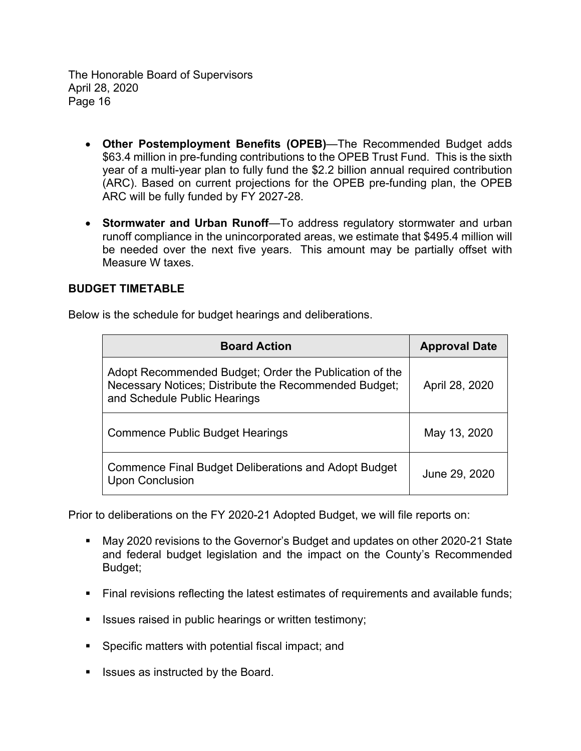- **Other Postemployment Benefits (OPEB)**—The Recommended Budget adds \$63.4 million in pre-funding contributions to the OPEB Trust Fund. This is the sixth year of a multi-year plan to fully fund the \$2.2 billion annual required contribution (ARC). Based on current projections for the OPEB pre-funding plan, the OPEB ARC will be fully funded by FY 2027-28.
- **Stormwater and Urban Runoff**—To address regulatory stormwater and urban runoff compliance in the unincorporated areas, we estimate that \$495.4 million will be needed over the next five years. This amount may be partially offset with Measure W taxes.

### **BUDGET TIMETABLE**

Below is the schedule for budget hearings and deliberations.

| <b>Board Action</b>                                                                                                                             | <b>Approval Date</b> |  |
|-------------------------------------------------------------------------------------------------------------------------------------------------|----------------------|--|
| Adopt Recommended Budget; Order the Publication of the<br>Necessary Notices; Distribute the Recommended Budget;<br>and Schedule Public Hearings | April 28, 2020       |  |
| <b>Commence Public Budget Hearings</b>                                                                                                          | May 13, 2020         |  |
| <b>Commence Final Budget Deliberations and Adopt Budget</b><br><b>Upon Conclusion</b>                                                           | June 29, 2020        |  |

Prior to deliberations on the FY 2020-21 Adopted Budget, we will file reports on:

- May 2020 revisions to the Governor's Budget and updates on other 2020-21 State and federal budget legislation and the impact on the County's Recommended Budget;
- **Final revisions reflecting the latest estimates of requirements and available funds;**
- Issues raised in public hearings or written testimony;
- **Specific matters with potential fiscal impact; and**
- **If** Issues as instructed by the Board.